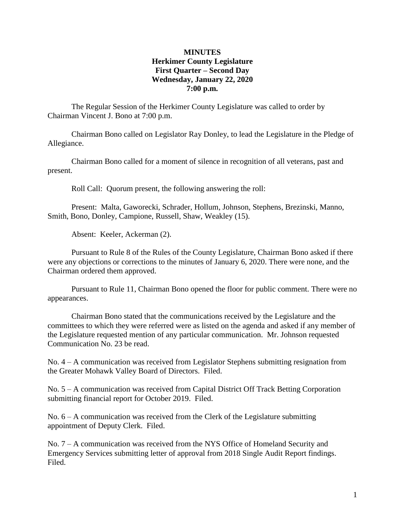# **MINUTES Herkimer County Legislature First Quarter – Second Day Wednesday, January 22, 2020 7:00 p.m.**

The Regular Session of the Herkimer County Legislature was called to order by Chairman Vincent J. Bono at 7:00 p.m.

Chairman Bono called on Legislator Ray Donley, to lead the Legislature in the Pledge of Allegiance.

Chairman Bono called for a moment of silence in recognition of all veterans, past and present.

Roll Call: Quorum present, the following answering the roll:

Present: Malta, Gaworecki, Schrader, Hollum, Johnson, Stephens, Brezinski, Manno, Smith, Bono, Donley, Campione, Russell, Shaw, Weakley (15).

Absent: Keeler, Ackerman (2).

Pursuant to Rule 8 of the Rules of the County Legislature, Chairman Bono asked if there were any objections or corrections to the minutes of January 6, 2020. There were none, and the Chairman ordered them approved.

Pursuant to Rule 11, Chairman Bono opened the floor for public comment. There were no appearances.

Chairman Bono stated that the communications received by the Legislature and the committees to which they were referred were as listed on the agenda and asked if any member of the Legislature requested mention of any particular communication. Mr. Johnson requested Communication No. 23 be read.

No. 4 – A communication was received from Legislator Stephens submitting resignation from the Greater Mohawk Valley Board of Directors. Filed.

No. 5 – A communication was received from Capital District Off Track Betting Corporation submitting financial report for October 2019. Filed.

No.  $6 - A$  communication was received from the Clerk of the Legislature submitting appointment of Deputy Clerk. Filed.

No. 7 – A communication was received from the NYS Office of Homeland Security and Emergency Services submitting letter of approval from 2018 Single Audit Report findings. Filed.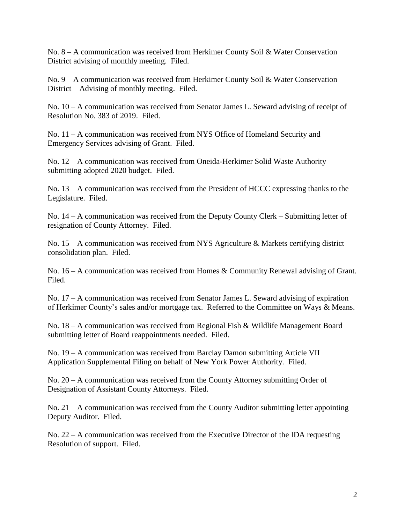No. 8 – A communication was received from Herkimer County Soil & Water Conservation District advising of monthly meeting. Filed.

No. 9 – A communication was received from Herkimer County Soil & Water Conservation District – Advising of monthly meeting. Filed.

No. 10 – A communication was received from Senator James L. Seward advising of receipt of Resolution No. 383 of 2019. Filed.

No. 11 – A communication was received from NYS Office of Homeland Security and Emergency Services advising of Grant. Filed.

No. 12 – A communication was received from Oneida-Herkimer Solid Waste Authority submitting adopted 2020 budget. Filed.

No. 13 – A communication was received from the President of HCCC expressing thanks to the Legislature. Filed.

No. 14 – A communication was received from the Deputy County Clerk – Submitting letter of resignation of County Attorney. Filed.

No. 15 – A communication was received from NYS Agriculture & Markets certifying district consolidation plan. Filed.

No. 16 – A communication was received from Homes & Community Renewal advising of Grant. Filed.

No. 17 – A communication was received from Senator James L. Seward advising of expiration of Herkimer County's sales and/or mortgage tax. Referred to the Committee on Ways & Means.

No. 18 – A communication was received from Regional Fish & Wildlife Management Board submitting letter of Board reappointments needed. Filed.

No. 19 – A communication was received from Barclay Damon submitting Article VII Application Supplemental Filing on behalf of New York Power Authority. Filed.

No. 20 – A communication was received from the County Attorney submitting Order of Designation of Assistant County Attorneys. Filed.

No. 21 – A communication was received from the County Auditor submitting letter appointing Deputy Auditor. Filed.

No. 22 – A communication was received from the Executive Director of the IDA requesting Resolution of support. Filed.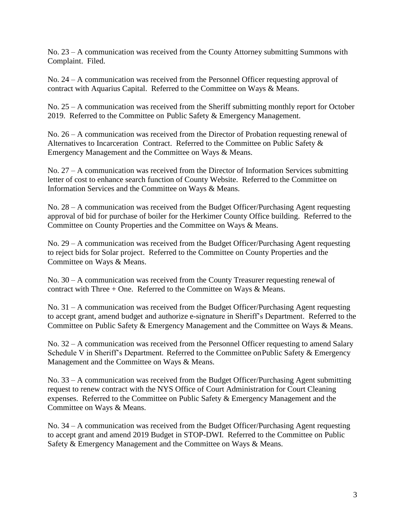No. 23 – A communication was received from the County Attorney submitting Summons with Complaint. Filed.

No. 24 – A communication was received from the Personnel Officer requesting approval of contract with Aquarius Capital. Referred to the Committee on Ways & Means.

No. 25 – A communication was received from the Sheriff submitting monthly report for October 2019. Referred to the Committee on Public Safety & Emergency Management.

No. 26 – A communication was received from the Director of Probation requesting renewal of Alternatives to Incarceration Contract. Referred to the Committee on Public Safety & Emergency Management and the Committee on Ways & Means.

No. 27 – A communication was received from the Director of Information Services submitting letter of cost to enhance search function of County Website. Referred to the Committee on Information Services and the Committee on Ways & Means.

No. 28 – A communication was received from the Budget Officer/Purchasing Agent requesting approval of bid for purchase of boiler for the Herkimer County Office building. Referred to the Committee on County Properties and the Committee on Ways & Means.

No. 29 – A communication was received from the Budget Officer/Purchasing Agent requesting to reject bids for Solar project. Referred to the Committee on County Properties and the Committee on Ways & Means.

No. 30 – A communication was received from the County Treasurer requesting renewal of contract with Three  $+$  One. Referred to the Committee on Ways & Means.

No. 31 – A communication was received from the Budget Officer/Purchasing Agent requesting to accept grant, amend budget and authorize e-signature in Sheriff's Department. Referred to the Committee on Public Safety & Emergency Management and the Committee on Ways & Means.

No. 32 – A communication was received from the Personnel Officer requesting to amend Salary Schedule V in Sheriff's Department. Referred to the Committee onPublic Safety & Emergency Management and the Committee on Ways & Means.

No. 33 – A communication was received from the Budget Officer/Purchasing Agent submitting request to renew contract with the NYS Office of Court Administration for Court Cleaning expenses. Referred to the Committee on Public Safety & Emergency Management and the Committee on Ways & Means.

No. 34 – A communication was received from the Budget Officer/Purchasing Agent requesting to accept grant and amend 2019 Budget in STOP-DWI. Referred to the Committee on Public Safety & Emergency Management and the Committee on Ways & Means.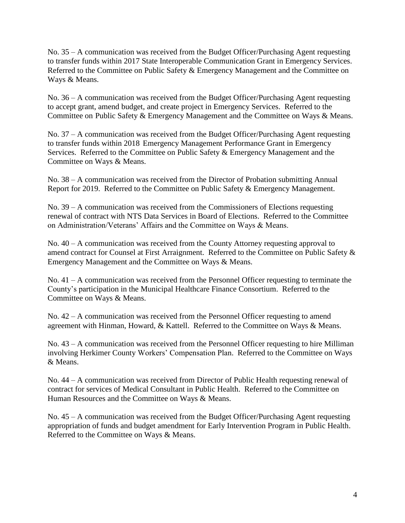No. 35 – A communication was received from the Budget Officer/Purchasing Agent requesting to transfer funds within 2017 State Interoperable Communication Grant in Emergency Services. Referred to the Committee on Public Safety & Emergency Management and the Committee on Ways & Means.

No. 36 – A communication was received from the Budget Officer/Purchasing Agent requesting to accept grant, amend budget, and create project in Emergency Services. Referred to the Committee on Public Safety & Emergency Management and the Committee on Ways & Means.

No. 37 – A communication was received from the Budget Officer/Purchasing Agent requesting to transfer funds within 2018 Emergency Management Performance Grant in Emergency Services. Referred to the Committee on Public Safety & Emergency Management and the Committee on Ways & Means.

No. 38 – A communication was received from the Director of Probation submitting Annual Report for 2019. Referred to the Committee on Public Safety & Emergency Management.

No. 39 – A communication was received from the Commissioners of Elections requesting renewal of contract with NTS Data Services in Board of Elections. Referred to the Committee on Administration/Veterans' Affairs and the Committee on Ways & Means.

No. 40 – A communication was received from the County Attorney requesting approval to amend contract for Counsel at First Arraignment. Referred to the Committee on Public Safety & Emergency Management and the Committee on Ways & Means.

No. 41 – A communication was received from the Personnel Officer requesting to terminate the County's participation in the Municipal Healthcare Finance Consortium. Referred to the Committee on Ways & Means.

No. 42 – A communication was received from the Personnel Officer requesting to amend agreement with Hinman, Howard, & Kattell. Referred to the Committee on Ways & Means.

No. 43 – A communication was received from the Personnel Officer requesting to hire Milliman involving Herkimer County Workers' Compensation Plan. Referred to the Committee on Ways & Means.

No. 44 – A communication was received from Director of Public Health requesting renewal of contract for services of Medical Consultant in Public Health. Referred to the Committee on Human Resources and the Committee on Ways & Means.

No. 45 – A communication was received from the Budget Officer/Purchasing Agent requesting appropriation of funds and budget amendment for Early Intervention Program in Public Health. Referred to the Committee on Ways & Means.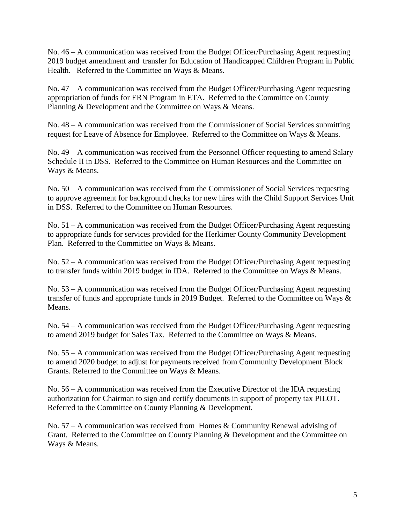No. 46 – A communication was received from the Budget Officer/Purchasing Agent requesting 2019 budget amendment and transfer for Education of Handicapped Children Program in Public Health. Referred to the Committee on Ways & Means.

No. 47 – A communication was received from the Budget Officer/Purchasing Agent requesting appropriation of funds for ERN Program in ETA. Referred to the Committee on County Planning & Development and the Committee on Ways & Means.

No. 48 – A communication was received from the Commissioner of Social Services submitting request for Leave of Absence for Employee. Referred to the Committee on Ways & Means.

No. 49 – A communication was received from the Personnel Officer requesting to amend Salary Schedule II in DSS. Referred to the Committee on Human Resources and the Committee on Ways & Means.

No. 50 – A communication was received from the Commissioner of Social Services requesting to approve agreement for background checks for new hires with the Child Support Services Unit in DSS. Referred to the Committee on Human Resources.

No. 51 – A communication was received from the Budget Officer/Purchasing Agent requesting to appropriate funds for services provided for the Herkimer County Community Development Plan. Referred to the Committee on Ways & Means.

No. 52 – A communication was received from the Budget Officer/Purchasing Agent requesting to transfer funds within 2019 budget in IDA. Referred to the Committee on Ways & Means.

No. 53 – A communication was received from the Budget Officer/Purchasing Agent requesting transfer of funds and appropriate funds in 2019 Budget. Referred to the Committee on Ways & Means.

No. 54 – A communication was received from the Budget Officer/Purchasing Agent requesting to amend 2019 budget for Sales Tax. Referred to the Committee on Ways & Means.

No. 55 – A communication was received from the Budget Officer/Purchasing Agent requesting to amend 2020 budget to adjust for payments received from Community Development Block Grants. Referred to the Committee on Ways & Means.

No. 56 – A communication was received from the Executive Director of the IDA requesting authorization for Chairman to sign and certify documents in support of property tax PILOT. Referred to the Committee on County Planning & Development.

No. 57 – A communication was received from Homes & Community Renewal advising of Grant. Referred to the Committee on County Planning & Development and the Committee on Ways & Means.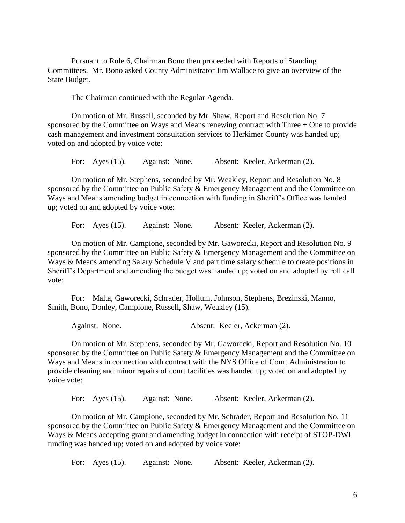Pursuant to Rule 6, Chairman Bono then proceeded with Reports of Standing Committees. Mr. Bono asked County Administrator Jim Wallace to give an overview of the State Budget.

The Chairman continued with the Regular Agenda.

On motion of Mr. Russell, seconded by Mr. Shaw, Report and Resolution No. 7 sponsored by the Committee on Ways and Means renewing contract with Three + One to provide cash management and investment consultation services to Herkimer County was handed up; voted on and adopted by voice vote:

For: Ayes (15). Against: None. Absent: Keeler, Ackerman (2).

On motion of Mr. Stephens, seconded by Mr. Weakley, Report and Resolution No. 8 sponsored by the Committee on Public Safety & Emergency Management and the Committee on Ways and Means amending budget in connection with funding in Sheriff's Office was handed up; voted on and adopted by voice vote:

For: Ayes (15). Against: None. Absent: Keeler, Ackerman (2).

On motion of Mr. Campione, seconded by Mr. Gaworecki, Report and Resolution No. 9 sponsored by the Committee on Public Safety & Emergency Management and the Committee on Ways & Means amending Salary Schedule V and part time salary schedule to create positions in Sheriff's Department and amending the budget was handed up; voted on and adopted by roll call vote:

For: Malta, Gaworecki, Schrader, Hollum, Johnson, Stephens, Brezinski, Manno, Smith, Bono, Donley, Campione, Russell, Shaw, Weakley (15).

Against: None. Absent: Keeler, Ackerman (2).

On motion of Mr. Stephens, seconded by Mr. Gaworecki, Report and Resolution No. 10 sponsored by the Committee on Public Safety & Emergency Management and the Committee on Ways and Means in connection with contract with the NYS Office of Court Administration to provide cleaning and minor repairs of court facilities was handed up; voted on and adopted by voice vote:

For: Ayes (15). Against: None. Absent: Keeler, Ackerman (2).

On motion of Mr. Campione, seconded by Mr. Schrader, Report and Resolution No. 11 sponsored by the Committee on Public Safety & Emergency Management and the Committee on Ways & Means accepting grant and amending budget in connection with receipt of STOP-DWI funding was handed up; voted on and adopted by voice vote:

For: Ayes (15). Against: None. Absent: Keeler, Ackerman (2).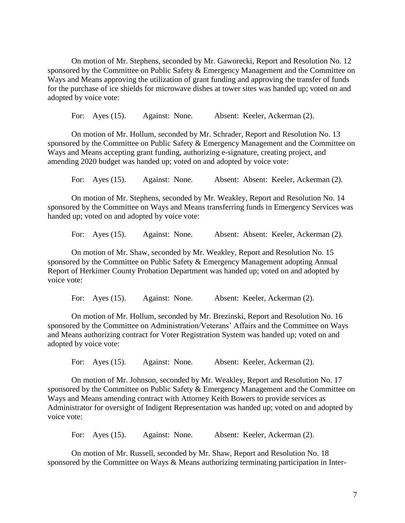On motion of Mr. Stephens, seconded by Mr. Gaworecki, Report and Resolution No. 12 sponsored by the Committee on Public Safety & Emergency Management and the Committee on Ways and Means approving the utilization of grant funding and approving the transfer of funds for the purchase of ice shields for microwave dishes at tower sites was handed up; voted on and adopted by voice vote:

For: Ayes (15). Against: None. Absent: Keeler, Ackerman (2).

On motion of Mr. Hollum, seconded by Mr. Schrader, Report and Resolution No. 13 sponsored by the Committee on Public Safety & Emergency Management and the Committee on Ways and Means accepting grant funding, authorizing e-signature, creating project, and amending 2020 budget was handed up; voted on and adopted by voice vote:

For: Ayes (15). Against: None. Absent: Absent: Keeler, Ackerman (2).

On motion of Mr. Stephens, seconded by Mr. Weakley, Report and Resolution No. 14 sponsored by the Committee on Ways and Means transferring funds in Emergency Services was handed up; voted on and adopted by voice vote:

For: Ayes (15). Against: None. Absent: Absent: Keeler, Ackerman (2).

On motion of Mr. Shaw, seconded by Mr. Weakley, Report and Resolution No. 15 sponsored by the Committee on Public Safety & Emergency Management adopting Annual Report of Herkimer County Probation Department was handed up; voted on and adopted by voice vote:

For: Ayes (15). Against: None. Absent: Keeler, Ackerman (2).

On motion of Mr. Hollum, seconded by Mr. Brezinski, Report and Resolution No. 16 sponsored by the Committee on Administration/Veterans' Affairs and the Committee on Ways and Means authorizing contract for Voter Registration System was handed up; voted on and adopted by voice vote:

For: Ayes (15). Against: None. Absent: Keeler, Ackerman (2).

On motion of Mr. Johnson, seconded by Mr. Weakley, Report and Resolution No. 17 sponsored by the Committee on Public Safety & Emergency Management and the Committee on Ways and Means amending contract with Attorney Keith Bowers to provide services as Administrator for oversight of Indigent Representation was handed up; voted on and adopted by voice vote:

For: Ayes (15). Against: None. Absent: Keeler, Ackerman (2).

On motion of Mr. Russell, seconded by Mr. Shaw, Report and Resolution No. 18 sponsored by the Committee on Ways & Means authorizing terminating participation in Inter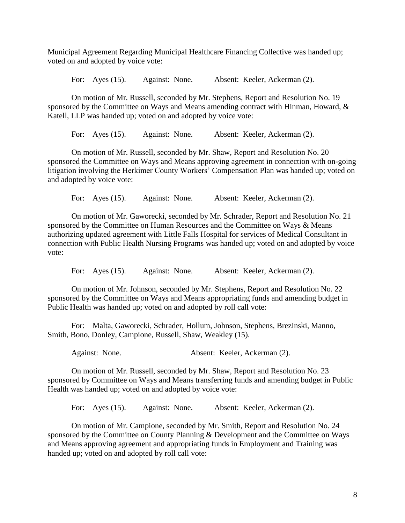Municipal Agreement Regarding Municipal Healthcare Financing Collective was handed up; voted on and adopted by voice vote:

For: Ayes (15). Against: None. Absent: Keeler, Ackerman (2).

On motion of Mr. Russell, seconded by Mr. Stephens, Report and Resolution No. 19 sponsored by the Committee on Ways and Means amending contract with Hinman, Howard, & Katell, LLP was handed up; voted on and adopted by voice vote:

For: Ayes (15). Against: None. Absent: Keeler, Ackerman (2).

On motion of Mr. Russell, seconded by Mr. Shaw, Report and Resolution No. 20 sponsored the Committee on Ways and Means approving agreement in connection with on-going litigation involving the Herkimer County Workers' Compensation Plan was handed up; voted on and adopted by voice vote:

For: Ayes (15). Against: None. Absent: Keeler, Ackerman (2).

On motion of Mr. Gaworecki, seconded by Mr. Schrader, Report and Resolution No. 21 sponsored by the Committee on Human Resources and the Committee on Ways & Means authorizing updated agreement with Little Falls Hospital for services of Medical Consultant in connection with Public Health Nursing Programs was handed up; voted on and adopted by voice vote:

For: Ayes (15). Against: None. Absent: Keeler, Ackerman (2).

On motion of Mr. Johnson, seconded by Mr. Stephens, Report and Resolution No. 22 sponsored by the Committee on Ways and Means appropriating funds and amending budget in Public Health was handed up; voted on and adopted by roll call vote:

For: Malta, Gaworecki, Schrader, Hollum, Johnson, Stephens, Brezinski, Manno, Smith, Bono, Donley, Campione, Russell, Shaw, Weakley (15).

Against: None. Absent: Keeler, Ackerman (2).

On motion of Mr. Russell, seconded by Mr. Shaw, Report and Resolution No. 23 sponsored by Committee on Ways and Means transferring funds and amending budget in Public Health was handed up; voted on and adopted by voice vote:

For: Ayes (15). Against: None. Absent: Keeler, Ackerman (2).

On motion of Mr. Campione, seconded by Mr. Smith, Report and Resolution No. 24 sponsored by the Committee on County Planning & Development and the Committee on Ways and Means approving agreement and appropriating funds in Employment and Training was handed up; voted on and adopted by roll call vote: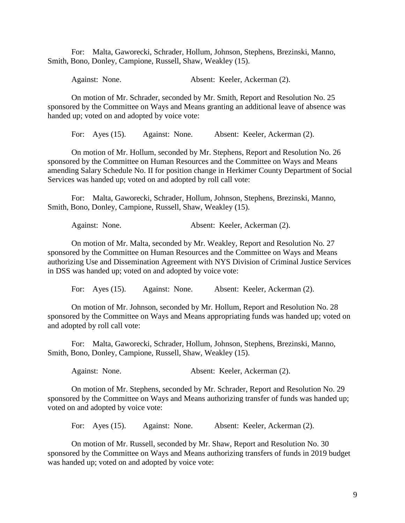For: Malta, Gaworecki, Schrader, Hollum, Johnson, Stephens, Brezinski, Manno, Smith, Bono, Donley, Campione, Russell, Shaw, Weakley (15).

Against: None. Absent: Keeler, Ackerman (2).

On motion of Mr. Schrader, seconded by Mr. Smith, Report and Resolution No. 25 sponsored by the Committee on Ways and Means granting an additional leave of absence was handed up; voted on and adopted by voice vote:

For: Ayes (15). Against: None. Absent: Keeler, Ackerman (2).

On motion of Mr. Hollum, seconded by Mr. Stephens, Report and Resolution No. 26 sponsored by the Committee on Human Resources and the Committee on Ways and Means amending Salary Schedule No. II for position change in Herkimer County Department of Social Services was handed up; voted on and adopted by roll call vote:

For: Malta, Gaworecki, Schrader, Hollum, Johnson, Stephens, Brezinski, Manno, Smith, Bono, Donley, Campione, Russell, Shaw, Weakley (15).

Against: None. Absent: Keeler, Ackerman (2).

On motion of Mr. Malta, seconded by Mr. Weakley, Report and Resolution No. 27 sponsored by the Committee on Human Resources and the Committee on Ways and Means authorizing Use and Dissemination Agreement with NYS Division of Criminal Justice Services in DSS was handed up; voted on and adopted by voice vote:

For: Ayes (15). Against: None. Absent: Keeler, Ackerman (2).

On motion of Mr. Johnson, seconded by Mr. Hollum, Report and Resolution No. 28 sponsored by the Committee on Ways and Means appropriating funds was handed up; voted on and adopted by roll call vote:

For: Malta, Gaworecki, Schrader, Hollum, Johnson, Stephens, Brezinski, Manno, Smith, Bono, Donley, Campione, Russell, Shaw, Weakley (15).

Against: None. Absent: Keeler, Ackerman (2).

On motion of Mr. Stephens, seconded by Mr. Schrader, Report and Resolution No. 29 sponsored by the Committee on Ways and Means authorizing transfer of funds was handed up; voted on and adopted by voice vote:

For: Ayes (15). Against: None. Absent: Keeler, Ackerman (2).

On motion of Mr. Russell, seconded by Mr. Shaw, Report and Resolution No. 30 sponsored by the Committee on Ways and Means authorizing transfers of funds in 2019 budget was handed up; voted on and adopted by voice vote: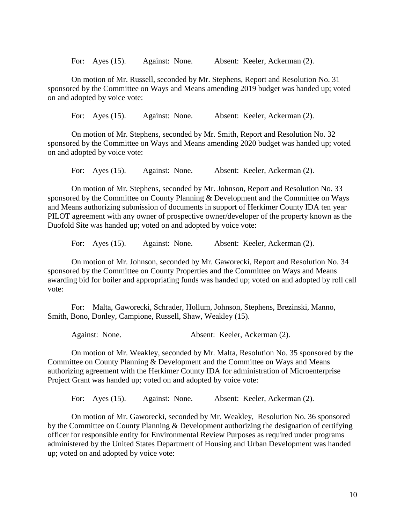For: Ayes (15). Against: None. Absent: Keeler, Ackerman (2).

On motion of Mr. Russell, seconded by Mr. Stephens, Report and Resolution No. 31 sponsored by the Committee on Ways and Means amending 2019 budget was handed up; voted on and adopted by voice vote:

For: Ayes (15). Against: None. Absent: Keeler, Ackerman (2).

On motion of Mr. Stephens, seconded by Mr. Smith, Report and Resolution No. 32 sponsored by the Committee on Ways and Means amending 2020 budget was handed up; voted on and adopted by voice vote:

For: Ayes (15). Against: None. Absent: Keeler, Ackerman (2).

On motion of Mr. Stephens, seconded by Mr. Johnson, Report and Resolution No. 33 sponsored by the Committee on County Planning & Development and the Committee on Ways and Means authorizing submission of documents in support of Herkimer County IDA ten year PILOT agreement with any owner of prospective owner/developer of the property known as the Duofold Site was handed up; voted on and adopted by voice vote:

For: Ayes (15). Against: None. Absent: Keeler, Ackerman (2).

On motion of Mr. Johnson, seconded by Mr. Gaworecki, Report and Resolution No. 34 sponsored by the Committee on County Properties and the Committee on Ways and Means awarding bid for boiler and appropriating funds was handed up; voted on and adopted by roll call vote:

For: Malta, Gaworecki, Schrader, Hollum, Johnson, Stephens, Brezinski, Manno, Smith, Bono, Donley, Campione, Russell, Shaw, Weakley (15).

Against: None. Absent: Keeler, Ackerman (2).

On motion of Mr. Weakley, seconded by Mr. Malta, Resolution No. 35 sponsored by the Committee on County Planning & Development and the Committee on Ways and Means authorizing agreement with the Herkimer County IDA for administration of Microenterprise Project Grant was handed up; voted on and adopted by voice vote:

For: Ayes (15). Against: None. Absent: Keeler, Ackerman (2).

On motion of Mr. Gaworecki, seconded by Mr. Weakley, Resolution No. 36 sponsored by the Committee on County Planning & Development authorizing the designation of certifying officer for responsible entity for Environmental Review Purposes as required under programs administered by the United States Department of Housing and Urban Development was handed up; voted on and adopted by voice vote: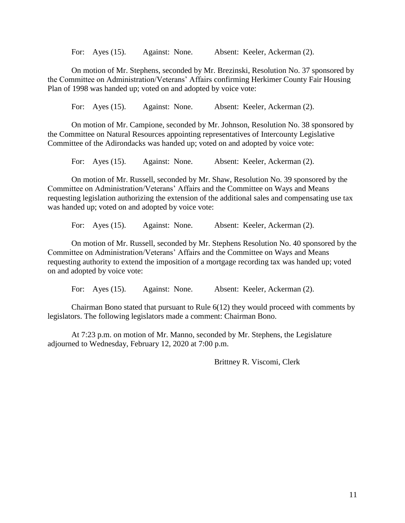For: Ayes (15). Against: None. Absent: Keeler, Ackerman (2).

On motion of Mr. Stephens, seconded by Mr. Brezinski, Resolution No. 37 sponsored by the Committee on Administration/Veterans' Affairs confirming Herkimer County Fair Housing Plan of 1998 was handed up; voted on and adopted by voice vote:

For: Ayes (15). Against: None. Absent: Keeler, Ackerman (2).

On motion of Mr. Campione, seconded by Mr. Johnson, Resolution No. 38 sponsored by the Committee on Natural Resources appointing representatives of Intercounty Legislative Committee of the Adirondacks was handed up; voted on and adopted by voice vote:

For: Ayes (15). Against: None. Absent: Keeler, Ackerman (2).

On motion of Mr. Russell, seconded by Mr. Shaw, Resolution No. 39 sponsored by the Committee on Administration/Veterans' Affairs and the Committee on Ways and Means requesting legislation authorizing the extension of the additional sales and compensating use tax was handed up; voted on and adopted by voice vote:

For: Ayes (15). Against: None. Absent: Keeler, Ackerman (2).

On motion of Mr. Russell, seconded by Mr. Stephens Resolution No. 40 sponsored by the Committee on Administration/Veterans' Affairs and the Committee on Ways and Means requesting authority to extend the imposition of a mortgage recording tax was handed up; voted on and adopted by voice vote:

For: Ayes (15). Against: None. Absent: Keeler, Ackerman (2).

Chairman Bono stated that pursuant to Rule 6(12) they would proceed with comments by legislators. The following legislators made a comment: Chairman Bono.

At 7:23 p.m. on motion of Mr. Manno, seconded by Mr. Stephens, the Legislature adjourned to Wednesday, February 12, 2020 at 7:00 p.m.

Brittney R. Viscomi, Clerk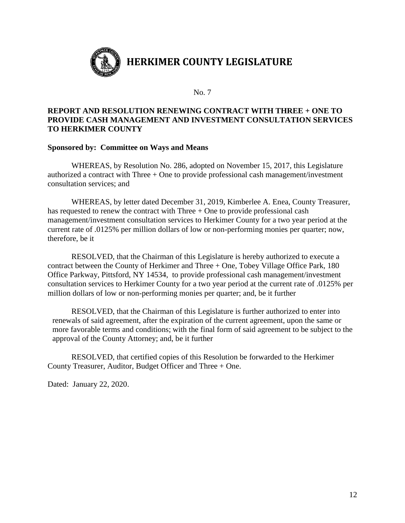

# **REPORT AND RESOLUTION RENEWING CONTRACT WITH THREE + ONE TO PROVIDE CASH MANAGEMENT AND INVESTMENT CONSULTATION SERVICES TO HERKIMER COUNTY**

#### **Sponsored by: Committee on Ways and Means**

WHEREAS, by Resolution No. 286, adopted on November 15, 2017, this Legislature authorized a contract with Three + One to provide professional cash management/investment consultation services; and

WHEREAS, by letter dated December 31, 2019, Kimberlee A. Enea, County Treasurer, has requested to renew the contract with Three + One to provide professional cash management/investment consultation services to Herkimer County for a two year period at the current rate of .0125% per million dollars of low or non-performing monies per quarter; now, therefore, be it

RESOLVED, that the Chairman of this Legislature is hereby authorized to execute a contract between the County of Herkimer and Three + One, Tobey Village Office Park, 180 Office Parkway, Pittsford, NY 14534, to provide professional cash management/investment consultation services to Herkimer County for a two year period at the current rate of .0125% per million dollars of low or non-performing monies per quarter; and, be it further

RESOLVED, that the Chairman of this Legislature is further authorized to enter into renewals of said agreement, after the expiration of the current agreement, upon the same or more favorable terms and conditions; with the final form of said agreement to be subject to the approval of the County Attorney; and, be it further

RESOLVED, that certified copies of this Resolution be forwarded to the Herkimer County Treasurer, Auditor, Budget Officer and Three + One.

Dated: January 22, 2020.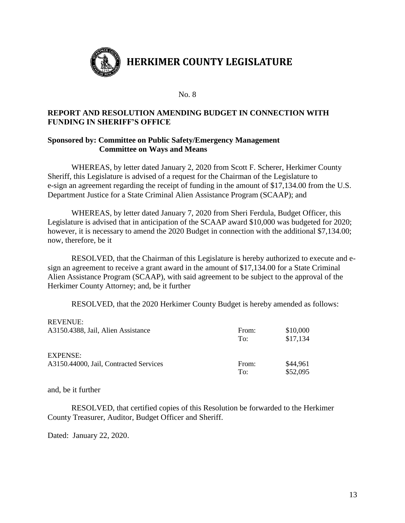

# **REPORT AND RESOLUTION AMENDING BUDGET IN CONNECTION WITH FUNDING IN SHERIFF'S OFFICE**

# **Sponsored by: Committee on Public Safety/Emergency Management Committee on Ways and Means**

WHEREAS, by letter dated January 2, 2020 from Scott F. Scherer, Herkimer County Sheriff, this Legislature is advised of a request for the Chairman of the Legislature to e-sign an agreement regarding the receipt of funding in the amount of \$17,134.00 from the U.S. Department Justice for a State Criminal Alien Assistance Program (SCAAP); and

WHEREAS, by letter dated January 7, 2020 from Sheri Ferdula, Budget Officer, this Legislature is advised that in anticipation of the SCAAP award \$10,000 was budgeted for 2020; however, it is necessary to amend the 2020 Budget in connection with the additional \$7,134.00; now, therefore, be it

RESOLVED, that the Chairman of this Legislature is hereby authorized to execute and esign an agreement to receive a grant award in the amount of \$17,134.00 for a State Criminal Alien Assistance Program (SCAAP), with said agreement to be subject to the approval of the Herkimer County Attorney; and, be it further

RESOLVED, that the 2020 Herkimer County Budget is hereby amended as follows:

| <b>REVENUE:</b>                        |       |          |
|----------------------------------------|-------|----------|
| A3150.4388, Jail, Alien Assistance     | From: | \$10,000 |
|                                        | To:   | \$17,134 |
| <b>EXPENSE:</b>                        |       |          |
| A3150.44000, Jail, Contracted Services | From: | \$44,961 |
|                                        | To:   | \$52,095 |

and, be it further

RESOLVED, that certified copies of this Resolution be forwarded to the Herkimer County Treasurer, Auditor, Budget Officer and Sheriff.

Dated: January 22, 2020.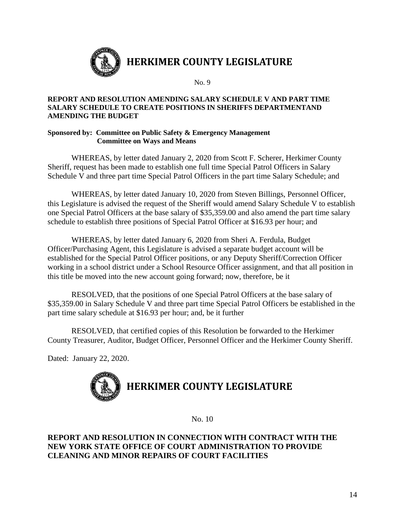

#### **REPORT AND RESOLUTION AMENDING SALARY SCHEDULE V AND PART TIME SALARY SCHEDULE TO CREATE POSITIONS IN SHERIFFS DEPARTMENTAND AMENDING THE BUDGET**

#### **Sponsored by: Committee on Public Safety & Emergency Management Committee on Ways and Means**

WHEREAS, by letter dated January 2, 2020 from Scott F. Scherer, Herkimer County Sheriff, request has been made to establish one full time Special Patrol Officers in Salary Schedule V and three part time Special Patrol Officers in the part time Salary Schedule; and

WHEREAS, by letter dated January 10, 2020 from Steven Billings, Personnel Officer, this Legislature is advised the request of the Sheriff would amend Salary Schedule V to establish one Special Patrol Officers at the base salary of \$35,359.00 and also amend the part time salary schedule to establish three positions of Special Patrol Officer at \$16.93 per hour; and

WHEREAS, by letter dated January 6, 2020 from Sheri A. Ferdula, Budget Officer/Purchasing Agent, this Legislature is advised a separate budget account will be established for the Special Patrol Officer positions, or any Deputy Sheriff/Correction Officer working in a school district under a School Resource Officer assignment, and that all position in this title be moved into the new account going forward; now, therefore, be it

RESOLVED, that the positions of one Special Patrol Officers at the base salary of \$35,359.00 in Salary Schedule V and three part time Special Patrol Officers be established in the part time salary schedule at \$16.93 per hour; and, be it further

RESOLVED, that certified copies of this Resolution be forwarded to the Herkimer County Treasurer, Auditor, Budget Officer, Personnel Officer and the Herkimer County Sheriff.

Dated: January 22, 2020.



No. 10

# **REPORT AND RESOLUTION IN CONNECTION WITH CONTRACT WITH THE NEW YORK STATE OFFICE OF COURT ADMINISTRATION TO PROVIDE CLEANING AND MINOR REPAIRS OF COURT FACILITIES**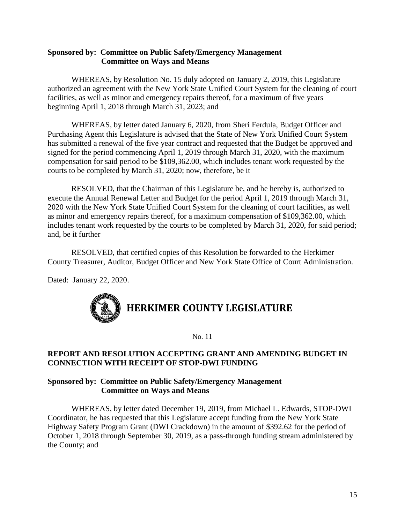# **Sponsored by: Committee on Public Safety/Emergency Management Committee on Ways and Means**

WHEREAS, by Resolution No. 15 duly adopted on January 2, 2019, this Legislature authorized an agreement with the New York State Unified Court System for the cleaning of court facilities, as well as minor and emergency repairs thereof, for a maximum of five years beginning April 1, 2018 through March 31, 2023; and

WHEREAS, by letter dated January 6, 2020, from Sheri Ferdula, Budget Officer and Purchasing Agent this Legislature is advised that the State of New York Unified Court System has submitted a renewal of the five year contract and requested that the Budget be approved and signed for the period commencing April 1, 2019 through March 31, 2020, with the maximum compensation for said period to be \$109,362.00, which includes tenant work requested by the courts to be completed by March 31, 2020; now, therefore, be it

RESOLVED, that the Chairman of this Legislature be, and he hereby is, authorized to execute the Annual Renewal Letter and Budget for the period April 1, 2019 through March 31, 2020 with the New York State Unified Court System for the cleaning of court facilities, as well as minor and emergency repairs thereof, for a maximum compensation of \$109,362.00, which includes tenant work requested by the courts to be completed by March 31, 2020, for said period; and, be it further

RESOLVED, that certified copies of this Resolution be forwarded to the Herkimer County Treasurer, Auditor, Budget Officer and New York State Office of Court Administration.

Dated: January 22, 2020.



No. 11

# **REPORT AND RESOLUTION ACCEPTING GRANT AND AMENDING BUDGET IN CONNECTION WITH RECEIPT OF STOP-DWI FUNDING**

# **Sponsored by: Committee on Public Safety/Emergency Management Committee on Ways and Means**

WHEREAS, by letter dated December 19, 2019, from Michael L. Edwards, STOP-DWI Coordinator, he has requested that this Legislature accept funding from the New York State Highway Safety Program Grant (DWI Crackdown) in the amount of \$392.62 for the period of October 1, 2018 through September 30, 2019, as a pass-through funding stream administered by the County; and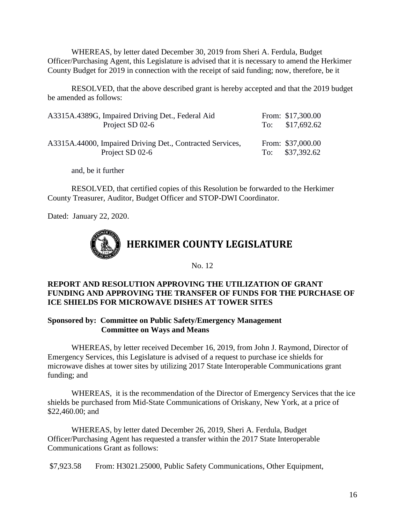WHEREAS, by letter dated December 30, 2019 from Sheri A. Ferdula, Budget Officer/Purchasing Agent, this Legislature is advised that it is necessary to amend the Herkimer County Budget for 2019 in connection with the receipt of said funding; now, therefore, be it

RESOLVED, that the above described grant is hereby accepted and that the 2019 budget be amended as follows:

| A3315A.4389G, Impaired Driving Det., Federal Aid          | From: \$17,300.00 |
|-----------------------------------------------------------|-------------------|
| Project SD 02-6                                           | To: $$17,692.62$  |
|                                                           |                   |
| A3315A.44000, Impaired Driving Det., Contracted Services, | From: \$37,000.00 |
| Project SD 02-6                                           | To: $$37,392.62$  |

and, be it further

RESOLVED, that certified copies of this Resolution be forwarded to the Herkimer County Treasurer, Auditor, Budget Officer and STOP-DWI Coordinator.

Dated: January 22, 2020.



No. 12

# **REPORT AND RESOLUTION APPROVING THE UTILIZATION OF GRANT FUNDING AND APPROVING THE TRANSFER OF FUNDS FOR THE PURCHASE OF ICE SHIELDS FOR MICROWAVE DISHES AT TOWER SITES**

#### **Sponsored by: Committee on Public Safety/Emergency Management Committee on Ways and Means**

WHEREAS, by letter received December 16, 2019, from John J. Raymond, Director of Emergency Services, this Legislature is advised of a request to purchase ice shields for microwave dishes at tower sites by utilizing 2017 State Interoperable Communications grant funding; and

WHEREAS, it is the recommendation of the Director of Emergency Services that the ice shields be purchased from Mid-State Communications of Oriskany, New York, at a price of \$22,460.00; and

WHEREAS, by letter dated December 26, 2019, Sheri A. Ferdula, Budget Officer/Purchasing Agent has requested a transfer within the 2017 State Interoperable Communications Grant as follows:

\$7,923.58 From: H3021.25000, Public Safety Communications, Other Equipment,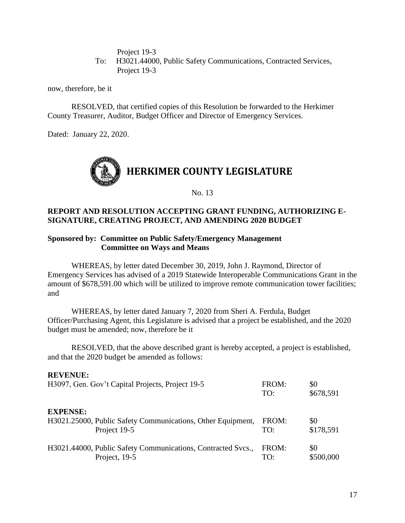Project 19-3

To: H3021.44000, Public Safety Communications, Contracted Services, Project 19-3

now, therefore, be it

RESOLVED, that certified copies of this Resolution be forwarded to the Herkimer County Treasurer, Auditor, Budget Officer and Director of Emergency Services.

Dated: January 22, 2020.



No. 13

#### **REPORT AND RESOLUTION ACCEPTING GRANT FUNDING, AUTHORIZING E-SIGNATURE, CREATING PROJECT, AND AMENDING 2020 BUDGET**

#### **Sponsored by: Committee on Public Safety/Emergency Management Committee on Ways and Means**

WHEREAS, by letter dated December 30, 2019, John J. Raymond, Director of Emergency Services has advised of a 2019 Statewide Interoperable Communications Grant in the amount of \$678,591.00 which will be utilized to improve remote communication tower facilities; and

WHEREAS, by letter dated January 7, 2020 from Sheri A. Ferdula, Budget Officer/Purchasing Agent, this Legislature is advised that a project be established, and the 2020 budget must be amended; now, therefore be it

RESOLVED, that the above described grant is hereby accepted, a project is established, and that the 2020 budget be amended as follows:

#### **REVENUE:**

| H3097, Gen. Gov't Capital Projects, Project 19-5                                               | FROM:<br>TO: | \$0<br>\$678,591 |
|------------------------------------------------------------------------------------------------|--------------|------------------|
| <b>EXPENSE:</b><br>H3021.25000, Public Safety Communications, Other Equipment,<br>Project 19-5 | FROM:<br>TO: | \$0<br>\$178,591 |
| H3021.44000, Public Safety Communications, Contracted Svcs.,<br>Project, 19-5                  | FROM:<br>TO: | \$0<br>\$500,000 |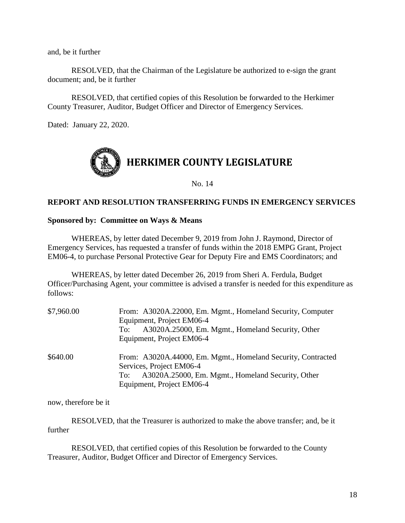and, be it further

RESOLVED, that the Chairman of the Legislature be authorized to e-sign the grant document; and, be it further

RESOLVED, that certified copies of this Resolution be forwarded to the Herkimer County Treasurer, Auditor, Budget Officer and Director of Emergency Services.

Dated: January 22, 2020.



No. 14

# **REPORT AND RESOLUTION TRANSFERRING FUNDS IN EMERGENCY SERVICES**

#### **Sponsored by: Committee on Ways & Means**

WHEREAS, by letter dated December 9, 2019 from John J. Raymond, Director of Emergency Services, has requested a transfer of funds within the 2018 EMPG Grant, Project EM06-4, to purchase Personal Protective Gear for Deputy Fire and EMS Coordinators; and

WHEREAS, by letter dated December 26, 2019 from Sheri A. Ferdula, Budget Officer/Purchasing Agent, your committee is advised a transfer is needed for this expenditure as follows:

| \$7,960.00 | From: A3020A.22000, Em. Mgmt., Homeland Security, Computer<br>Equipment, Project EM06-4<br>A3020A.25000, Em. Mgmt., Homeland Security, Other<br>To:<br>Equipment, Project EM06-4  |
|------------|-----------------------------------------------------------------------------------------------------------------------------------------------------------------------------------|
| \$640.00   | From: A3020A.44000, Em. Mgmt., Homeland Security, Contracted<br>Services, Project EM06-4<br>A3020A.25000, Em. Mgmt., Homeland Security, Other<br>To:<br>Equipment, Project EM06-4 |

now, therefore be it

RESOLVED, that the Treasurer is authorized to make the above transfer; and, be it further

RESOLVED, that certified copies of this Resolution be forwarded to the County Treasurer, Auditor, Budget Officer and Director of Emergency Services.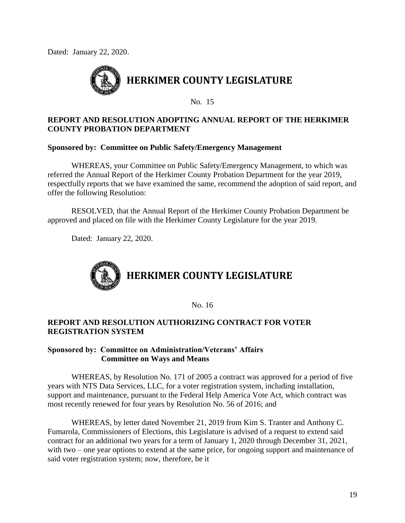Dated: January 22, 2020.



No. 15

# **REPORT AND RESOLUTION ADOPTING ANNUAL REPORT OF THE HERKIMER COUNTY PROBATION DEPARTMENT**

#### **Sponsored by: Committee on Public Safety/Emergency Management**

WHEREAS, your Committee on Public Safety/Emergency Management, to which was referred the Annual Report of the Herkimer County Probation Department for the year 2019, respectfully reports that we have examined the same, recommend the adoption of said report, and offer the following Resolution:

RESOLVED, that the Annual Report of the Herkimer County Probation Department be approved and placed on file with the Herkimer County Legislature for the year 2019.

Dated: January 22, 2020.



No. 16

# **REPORT AND RESOLUTION AUTHORIZING CONTRACT FOR VOTER REGISTRATION SYSTEM**

# **Sponsored by: Committee on Administration/Veterans' Affairs Committee on Ways and Means**

WHEREAS, by Resolution No. 171 of 2005 a contract was approved for a period of five years with NTS Data Services, LLC, for a voter registration system, including installation, support and maintenance, pursuant to the Federal Help America Vote Act, which contract was most recently renewed for four years by Resolution No. 56 of 2016; and

WHEREAS, by letter dated November 21, 2019 from Kim S. Tranter and Anthony C. Fumarola, Commissioners of Elections, this Legislature is advised of a request to extend said contract for an additional two years for a term of January 1, 2020 through December 31, 2021, with two – one year options to extend at the same price, for ongoing support and maintenance of said voter registration system; now, therefore, be it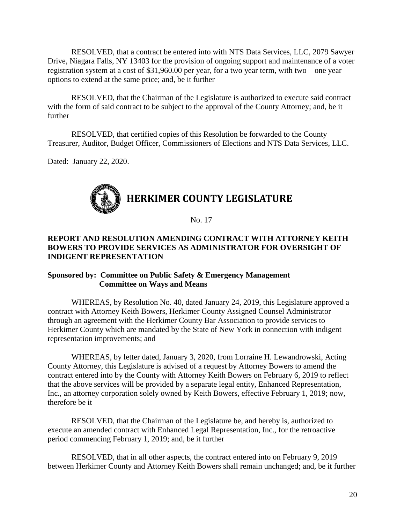RESOLVED, that a contract be entered into with NTS Data Services, LLC, 2079 Sawyer Drive, Niagara Falls, NY 13403 for the provision of ongoing support and maintenance of a voter registration system at a cost of \$31,960.00 per year, for a two year term, with two – one year options to extend at the same price; and, be it further

RESOLVED, that the Chairman of the Legislature is authorized to execute said contract with the form of said contract to be subject to the approval of the County Attorney; and, be it further

RESOLVED, that certified copies of this Resolution be forwarded to the County Treasurer, Auditor, Budget Officer, Commissioners of Elections and NTS Data Services, LLC.

Dated: January 22, 2020.



No. 17

# **REPORT AND RESOLUTION AMENDING CONTRACT WITH ATTORNEY KEITH BOWERS TO PROVIDE SERVICES AS ADMINISTRATOR FOR OVERSIGHT OF INDIGENT REPRESENTATION**

#### **Sponsored by: Committee on Public Safety & Emergency Management Committee on Ways and Means**

WHEREAS, by Resolution No. 40, dated January 24, 2019, this Legislature approved a contract with Attorney Keith Bowers, Herkimer County Assigned Counsel Administrator through an agreement with the Herkimer County Bar Association to provide services to Herkimer County which are mandated by the State of New York in connection with indigent representation improvements; and

WHEREAS, by letter dated, January 3, 2020, from Lorraine H. Lewandrowski, Acting County Attorney, this Legislature is advised of a request by Attorney Bowers to amend the contract entered into by the County with Attorney Keith Bowers on February 6, 2019 to reflect that the above services will be provided by a separate legal entity, Enhanced Representation, Inc., an attorney corporation solely owned by Keith Bowers, effective February 1, 2019; now, therefore be it

RESOLVED, that the Chairman of the Legislature be, and hereby is, authorized to execute an amended contract with Enhanced Legal Representation, Inc., for the retroactive period commencing February 1, 2019; and, be it further

RESOLVED, that in all other aspects, the contract entered into on February 9, 2019 between Herkimer County and Attorney Keith Bowers shall remain unchanged; and, be it further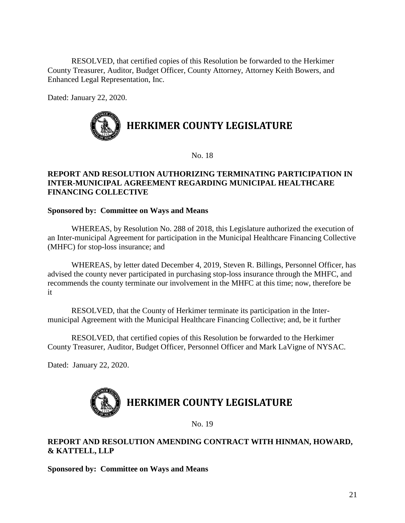RESOLVED, that certified copies of this Resolution be forwarded to the Herkimer County Treasurer, Auditor, Budget Officer, County Attorney, Attorney Keith Bowers, and Enhanced Legal Representation, Inc.

Dated: January 22, 2020.



No. 18

## **REPORT AND RESOLUTION AUTHORIZING TERMINATING PARTICIPATION IN INTER-MUNICIPAL AGREEMENT REGARDING MUNICIPAL HEALTHCARE FINANCING COLLECTIVE**

# **Sponsored by: Committee on Ways and Means**

WHEREAS, by Resolution No. 288 of 2018, this Legislature authorized the execution of an Inter-municipal Agreement for participation in the Municipal Healthcare Financing Collective (MHFC) for stop-loss insurance; and

WHEREAS, by letter dated December 4, 2019, Steven R. Billings, Personnel Officer, has advised the county never participated in purchasing stop-loss insurance through the MHFC, and recommends the county terminate our involvement in the MHFC at this time; now, therefore be it

RESOLVED, that the County of Herkimer terminate its participation in the Intermunicipal Agreement with the Municipal Healthcare Financing Collective; and, be it further

RESOLVED, that certified copies of this Resolution be forwarded to the Herkimer County Treasurer, Auditor, Budget Officer, Personnel Officer and Mark LaVigne of NYSAC.

Dated: January 22, 2020.



No. 19

**REPORT AND RESOLUTION AMENDING CONTRACT WITH HINMAN, HOWARD, & KATTELL, LLP**

**Sponsored by: Committee on Ways and Means**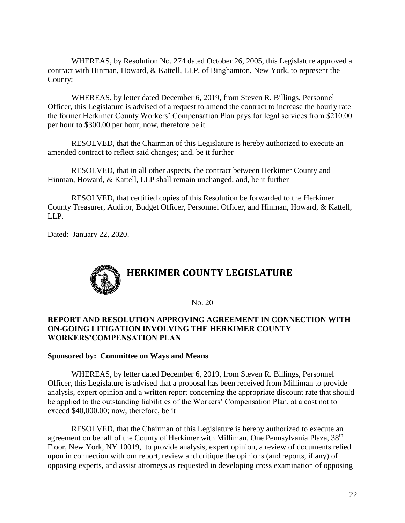WHEREAS, by Resolution No. 274 dated October 26, 2005, this Legislature approved a contract with Hinman, Howard, & Kattell, LLP, of Binghamton, New York, to represent the County;

WHEREAS, by letter dated December 6, 2019, from Steven R. Billings, Personnel Officer, this Legislature is advised of a request to amend the contract to increase the hourly rate the former Herkimer County Workers' Compensation Plan pays for legal services from \$210.00 per hour to \$300.00 per hour; now, therefore be it

RESOLVED, that the Chairman of this Legislature is hereby authorized to execute an amended contract to reflect said changes; and, be it further

RESOLVED, that in all other aspects, the contract between Herkimer County and Hinman, Howard, & Kattell, LLP shall remain unchanged; and, be it further

RESOLVED, that certified copies of this Resolution be forwarded to the Herkimer County Treasurer, Auditor, Budget Officer, Personnel Officer, and Hinman, Howard, & Kattell, LLP.

Dated: January 22, 2020.



No. 20

# **REPORT AND RESOLUTION APPROVING AGREEMENT IN CONNECTION WITH ON-GOING LITIGATION INVOLVING THE HERKIMER COUNTY WORKERS'COMPENSATION PLAN**

#### **Sponsored by: Committee on Ways and Means**

WHEREAS, by letter dated December 6, 2019, from Steven R. Billings, Personnel Officer, this Legislature is advised that a proposal has been received from Milliman to provide analysis, expert opinion and a written report concerning the appropriate discount rate that should be applied to the outstanding liabilities of the Workers' Compensation Plan, at a cost not to exceed \$40,000.00; now, therefore, be it

RESOLVED, that the Chairman of this Legislature is hereby authorized to execute an agreement on behalf of the County of Herkimer with Milliman, One Pennsylvania Plaza, 38<sup>th</sup> Floor, New York, NY 10019, to provide analysis, expert opinion, a review of documents relied upon in connection with our report, review and critique the opinions (and reports, if any) of opposing experts, and assist attorneys as requested in developing cross examination of opposing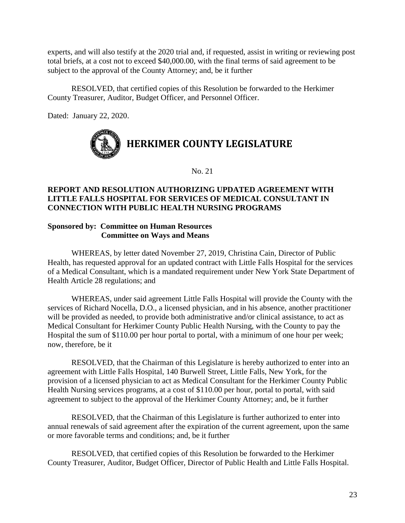experts, and will also testify at the 2020 trial and, if requested, assist in writing or reviewing post total briefs, at a cost not to exceed \$40,000.00, with the final terms of said agreement to be subject to the approval of the County Attorney; and, be it further

RESOLVED, that certified copies of this Resolution be forwarded to the Herkimer County Treasurer, Auditor, Budget Officer, and Personnel Officer.

Dated: January 22, 2020.



No. 21

# **REPORT AND RESOLUTION AUTHORIZING UPDATED AGREEMENT WITH LITTLE FALLS HOSPITAL FOR SERVICES OF MEDICAL CONSULTANT IN CONNECTION WITH PUBLIC HEALTH NURSING PROGRAMS**

# **Sponsored by: Committee on Human Resources Committee on Ways and Means**

WHEREAS, by letter dated November 27, 2019, Christina Cain, Director of Public Health, has requested approval for an updated contract with Little Falls Hospital for the services of a Medical Consultant, which is a mandated requirement under New York State Department of Health Article 28 regulations; and

WHEREAS, under said agreement Little Falls Hospital will provide the County with the services of Richard Nocella, D.O., a licensed physician, and in his absence, another practitioner will be provided as needed, to provide both administrative and/or clinical assistance, to act as Medical Consultant for Herkimer County Public Health Nursing, with the County to pay the Hospital the sum of \$110.00 per hour portal to portal, with a minimum of one hour per week; now, therefore, be it

RESOLVED, that the Chairman of this Legislature is hereby authorized to enter into an agreement with Little Falls Hospital, 140 Burwell Street, Little Falls, New York, for the provision of a licensed physician to act as Medical Consultant for the Herkimer County Public Health Nursing services programs, at a cost of \$110.00 per hour, portal to portal, with said agreement to subject to the approval of the Herkimer County Attorney; and, be it further

RESOLVED, that the Chairman of this Legislature is further authorized to enter into annual renewals of said agreement after the expiration of the current agreement, upon the same or more favorable terms and conditions; and, be it further

RESOLVED, that certified copies of this Resolution be forwarded to the Herkimer County Treasurer, Auditor, Budget Officer, Director of Public Health and Little Falls Hospital.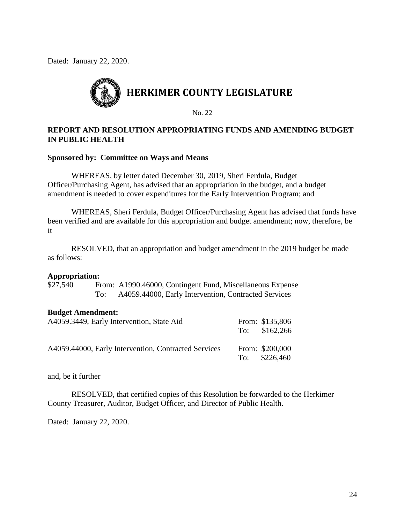Dated: January 22, 2020.



No. 22

# **REPORT AND RESOLUTION APPROPRIATING FUNDS AND AMENDING BUDGET IN PUBLIC HEALTH**

#### **Sponsored by: Committee on Ways and Means**

WHEREAS, by letter dated December 30, 2019, Sheri Ferdula, Budget Officer/Purchasing Agent, has advised that an appropriation in the budget, and a budget amendment is needed to cover expenditures for the Early Intervention Program; and

WHEREAS, Sheri Ferdula, Budget Officer/Purchasing Agent has advised that funds have been verified and are available for this appropriation and budget amendment; now, therefore, be it

RESOLVED, that an appropriation and budget amendment in the 2019 budget be made as follows:

#### **Appropriation:**

\$27,540 From: A1990.46000, Contingent Fund, Miscellaneous Expense To: A4059.44000, Early Intervention, Contracted Services

#### **Budget Amendment:**

| A4059.3449, Early Intervention, State Aid            | From: \$135,806<br>To: $$162,266$ |
|------------------------------------------------------|-----------------------------------|
| A4059.44000, Early Intervention, Contracted Services | From: \$200,000<br>To: $$226,460$ |

and, be it further

RESOLVED, that certified copies of this Resolution be forwarded to the Herkimer County Treasurer, Auditor, Budget Officer, and Director of Public Health.

Dated: January 22, 2020.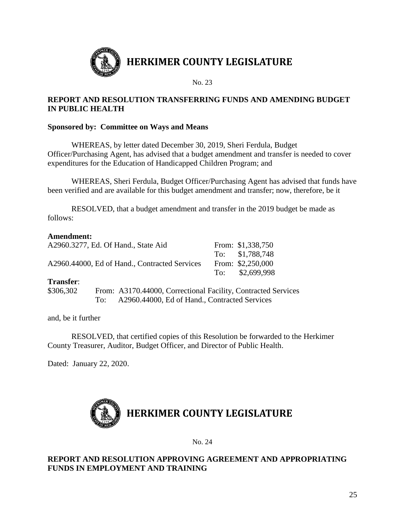

# **REPORT AND RESOLUTION TRANSFERRING FUNDS AND AMENDING BUDGET IN PUBLIC HEALTH**

# **Sponsored by: Committee on Ways and Means**

WHEREAS, by letter dated December 30, 2019, Sheri Ferdula, Budget Officer/Purchasing Agent, has advised that a budget amendment and transfer is needed to cover expenditures for the Education of Handicapped Children Program; and

WHEREAS, Sheri Ferdula, Budget Officer/Purchasing Agent has advised that funds have been verified and are available for this budget amendment and transfer; now, therefore, be it

RESOLVED, that a budget amendment and transfer in the 2019 budget be made as follows:

# **Amendment:**

| A2960.3277, Ed. Of Hand., State Aid           |     |                                               | From: \$1,338,750                                             |
|-----------------------------------------------|-----|-----------------------------------------------|---------------------------------------------------------------|
|                                               |     |                                               | To: \$1,788,748                                               |
| A2960.44000, Ed of Hand., Contracted Services |     |                                               | From: \$2,250,000                                             |
|                                               |     |                                               | To: \$2,699,998                                               |
| <b>Transfer:</b>                              |     |                                               |                                                               |
| \$306,302                                     |     |                                               | From: A3170.44000, Correctional Facility, Contracted Services |
|                                               | To: | A2960.44000, Ed of Hand., Contracted Services |                                                               |

and, be it further

RESOLVED, that certified copies of this Resolution be forwarded to the Herkimer County Treasurer, Auditor, Budget Officer, and Director of Public Health.

Dated: January 22, 2020.



#### No. 24

# **REPORT AND RESOLUTION APPROVING AGREEMENT AND APPROPRIATING FUNDS IN EMPLOYMENT AND TRAINING**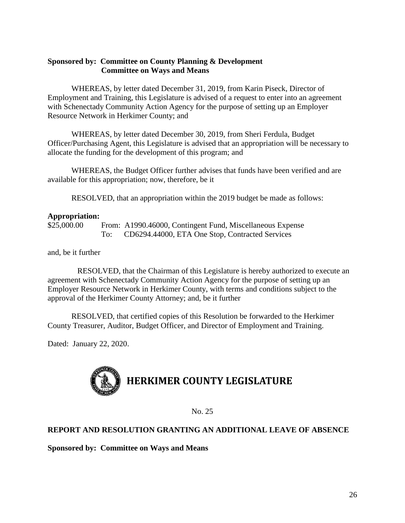# **Sponsored by: Committee on County Planning & Development Committee on Ways and Means**

WHEREAS, by letter dated December 31, 2019, from Karin Piseck, Director of Employment and Training, this Legislature is advised of a request to enter into an agreement with Schenectady Community Action Agency for the purpose of setting up an Employer Resource Network in Herkimer County; and

WHEREAS, by letter dated December 30, 2019, from Sheri Ferdula, Budget Officer/Purchasing Agent, this Legislature is advised that an appropriation will be necessary to allocate the funding for the development of this program; and

WHEREAS, the Budget Officer further advises that funds have been verified and are available for this appropriation; now, therefore, be it

RESOLVED, that an appropriation within the 2019 budget be made as follows:

# **Appropriation:**

\$25,000.00 From: A1990.46000, Contingent Fund, Miscellaneous Expense To: CD6294.44000, ETA One Stop, Contracted Services

and, be it further

RESOLVED, that the Chairman of this Legislature is hereby authorized to execute an agreement with Schenectady Community Action Agency for the purpose of setting up an Employer Resource Network in Herkimer County, with terms and conditions subject to the approval of the Herkimer County Attorney; and, be it further

RESOLVED, that certified copies of this Resolution be forwarded to the Herkimer County Treasurer, Auditor, Budget Officer, and Director of Employment and Training.

Dated: January 22, 2020.



No. 25

# **REPORT AND RESOLUTION GRANTING AN ADDITIONAL LEAVE OF ABSENCE**

**Sponsored by: Committee on Ways and Means**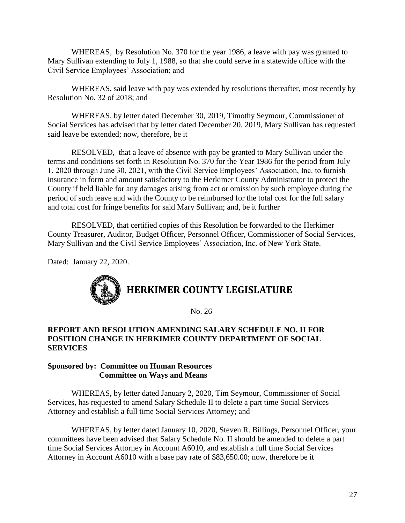WHEREAS, by Resolution No. 370 for the year 1986, a leave with pay was granted to Mary Sullivan extending to July 1, 1988, so that she could serve in a statewide office with the Civil Service Employees' Association; and

WHEREAS, said leave with pay was extended by resolutions thereafter, most recently by Resolution No. 32 of 2018; and

WHEREAS, by letter dated December 30, 2019, Timothy Seymour, Commissioner of Social Services has advised that by letter dated December 20, 2019, Mary Sullivan has requested said leave be extended; now, therefore, be it

RESOLVED, that a leave of absence with pay be granted to Mary Sullivan under the terms and conditions set forth in Resolution No. 370 for the Year 1986 for the period from July 1, 2020 through June 30, 2021, with the Civil Service Employees' Association, Inc. to furnish insurance in form and amount satisfactory to the Herkimer County Administrator to protect the County if held liable for any damages arising from act or omission by such employee during the period of such leave and with the County to be reimbursed for the total cost for the full salary and total cost for fringe benefits for said Mary Sullivan; and, be it further

RESOLVED, that certified copies of this Resolution be forwarded to the Herkimer County Treasurer, Auditor, Budget Officer, Personnel Officer, Commissioner of Social Services, Mary Sullivan and the Civil Service Employees' Association, Inc. of New York State.

Dated: January 22, 2020.



No. 26

# **REPORT AND RESOLUTION AMENDING SALARY SCHEDULE NO. II FOR POSITION CHANGE IN HERKIMER COUNTY DEPARTMENT OF SOCIAL SERVICES**

# **Sponsored by: Committee on Human Resources Committee on Ways and Means**

WHEREAS, by letter dated January 2, 2020, Tim Seymour, Commissioner of Social Services, has requested to amend Salary Schedule II to delete a part time Social Services Attorney and establish a full time Social Services Attorney; and

WHEREAS, by letter dated January 10, 2020, Steven R. Billings, Personnel Officer, your committees have been advised that Salary Schedule No. II should be amended to delete a part time Social Services Attorney in Account A6010, and establish a full time Social Services Attorney in Account A6010 with a base pay rate of \$83,650.00; now, therefore be it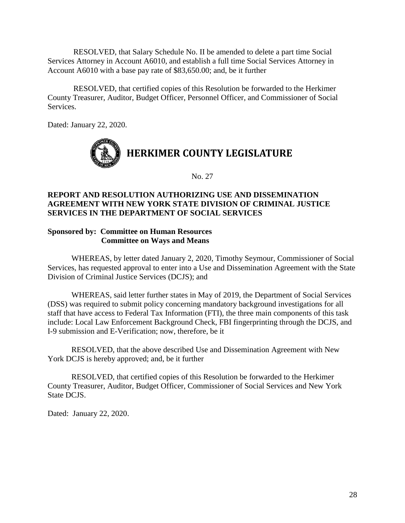RESOLVED, that Salary Schedule No. II be amended to delete a part time Social Services Attorney in Account A6010, and establish a full time Social Services Attorney in Account A6010 with a base pay rate of \$83,650.00; and, be it further

RESOLVED, that certified copies of this Resolution be forwarded to the Herkimer County Treasurer, Auditor, Budget Officer, Personnel Officer, and Commissioner of Social Services.

Dated: January 22, 2020.



No. 27

# **REPORT AND RESOLUTION AUTHORIZING USE AND DISSEMINATION AGREEMENT WITH NEW YORK STATE DIVISION OF CRIMINAL JUSTICE SERVICES IN THE DEPARTMENT OF SOCIAL SERVICES**

# **Sponsored by: Committee on Human Resources Committee on Ways and Means**

WHEREAS, by letter dated January 2, 2020, Timothy Seymour, Commissioner of Social Services, has requested approval to enter into a Use and Dissemination Agreement with the State Division of Criminal Justice Services (DCJS); and

WHEREAS, said letter further states in May of 2019, the Department of Social Services (DSS) was required to submit policy concerning mandatory background investigations for all staff that have access to Federal Tax Information (FTI), the three main components of this task include: Local Law Enforcement Background Check, FBI fingerprinting through the DCJS, and I-9 submission and E-Verification; now, therefore, be it

RESOLVED, that the above described Use and Dissemination Agreement with New York DCJS is hereby approved; and, be it further

RESOLVED, that certified copies of this Resolution be forwarded to the Herkimer County Treasurer, Auditor, Budget Officer, Commissioner of Social Services and New York State DCJS.

Dated: January 22, 2020.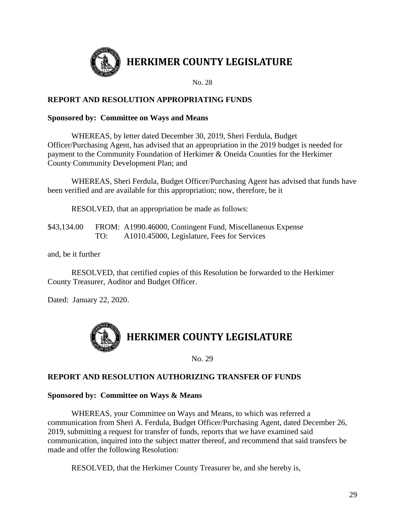

**HERKIMER COUNTY LEGISLATURE**

No. 28

# **REPORT AND RESOLUTION APPROPRIATING FUNDS**

# **Sponsored by: Committee on Ways and Means**

WHEREAS, by letter dated December 30, 2019, Sheri Ferdula, Budget Officer/Purchasing Agent, has advised that an appropriation in the 2019 budget is needed for payment to the Community Foundation of Herkimer & Oneida Counties for the Herkimer County Community Development Plan; and

WHEREAS, Sheri Ferdula, Budget Officer/Purchasing Agent has advised that funds have been verified and are available for this appropriation; now, therefore, be it

RESOLVED, that an appropriation be made as follows:

\$43,134.00 FROM: A1990.46000, Contingent Fund, Miscellaneous Expense TO: A1010.45000, Legislature, Fees for Services

and, be it further

RESOLVED, that certified copies of this Resolution be forwarded to the Herkimer County Treasurer, Auditor and Budget Officer.

Dated: January 22, 2020.



No. 29

# **REPORT AND RESOLUTION AUTHORIZING TRANSFER OF FUNDS**

# **Sponsored by: Committee on Ways & Means**

WHEREAS, your Committee on Ways and Means, to which was referred a communication from Sheri A. Ferdula, Budget Officer/Purchasing Agent, dated December 26, 2019, submitting a request for transfer of funds, reports that we have examined said communication, inquired into the subject matter thereof, and recommend that said transfers be made and offer the following Resolution:

RESOLVED, that the Herkimer County Treasurer be, and she hereby is,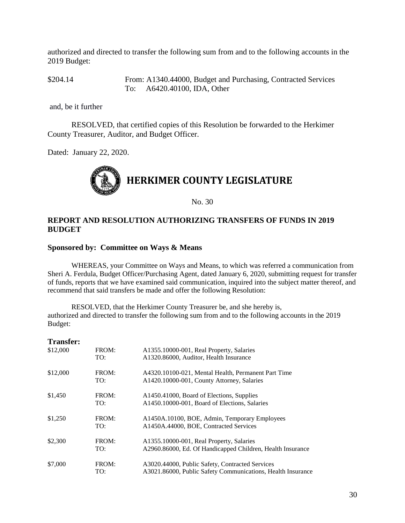authorized and directed to transfer the following sum from and to the following accounts in the 2019 Budget:

\$204.14 From: A1340.44000, Budget and Purchasing, Contracted Services To: A6420.40100, IDA, Other

and, be it further

RESOLVED, that certified copies of this Resolution be forwarded to the Herkimer County Treasurer, Auditor, and Budget Officer.

Dated: January 22, 2020.



No. 30

# **REPORT AND RESOLUTION AUTHORIZING TRANSFERS OF FUNDS IN 2019 BUDGET**

#### **Sponsored by: Committee on Ways & Means**

WHEREAS, your Committee on Ways and Means, to which was referred a communication from Sheri A. Ferdula, Budget Officer/Purchasing Agent, dated January 6, 2020, submitting request for transfer of funds, reports that we have examined said communication, inquired into the subject matter thereof, and recommend that said transfers be made and offer the following Resolution:

RESOLVED, that the Herkimer County Treasurer be, and she hereby is, authorized and directed to transfer the following sum from and to the following accounts in the 2019 Budget:

| <b>Transfer:</b> |       |                                                             |
|------------------|-------|-------------------------------------------------------------|
| \$12,000         | FROM: | A1355.10000-001, Real Property, Salaries                    |
|                  | TO:   | A1320.86000, Auditor, Health Insurance                      |
| \$12,000         | FROM: | A4320.10100-021, Mental Health, Permanent Part Time         |
|                  | TO:   | A1420.10000-001, County Attorney, Salaries                  |
| \$1,450          | FROM: | A1450.41000, Board of Elections, Supplies                   |
|                  | TO:   | A1450.10000-001, Board of Elections, Salaries               |
| \$1,250          | FROM: | A1450A.10100, BOE, Admin, Temporary Employees               |
|                  | TO:   | A1450A.44000, BOE, Contracted Services                      |
| \$2,300          | FROM: | A1355.10000-001, Real Property, Salaries                    |
|                  | TO:   | A2960.86000, Ed. Of Handicapped Children, Health Insurance  |
| \$7,000          | FROM: | A3020.44000, Public Safety, Contracted Services             |
|                  | TO:   | A3021.86000, Public Safety Communications, Health Insurance |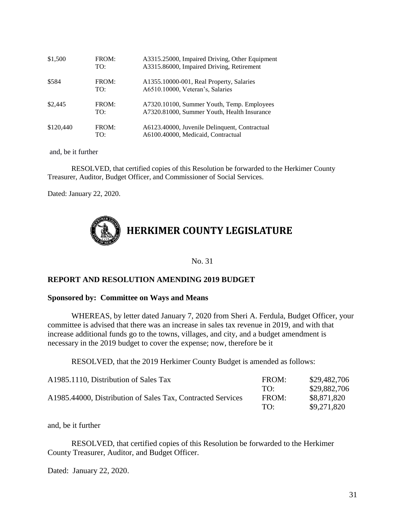| \$1,500   | FROM:<br>TO: | A3315.25000, Impaired Driving, Other Equipment<br>A3315.86000, Impaired Driving, Retirement |
|-----------|--------------|---------------------------------------------------------------------------------------------|
| \$584     | FROM:<br>TO: | A1355.10000-001, Real Property, Salaries<br>A6510.10000, Veteran's, Salaries                |
| \$2,445   | FROM:<br>TO: | A7320.10100, Summer Youth, Temp. Employees<br>A7320.81000, Summer Youth, Health Insurance   |
| \$120,440 | FROM:<br>TO: | A6123.40000, Juvenile Delinquent, Contractual<br>A6100.40000, Medicaid, Contractual         |

and, be it further

RESOLVED, that certified copies of this Resolution be forwarded to the Herkimer County Treasurer, Auditor, Budget Officer, and Commissioner of Social Services.

Dated: January 22, 2020.



No. 31

#### **REPORT AND RESOLUTION AMENDING 2019 BUDGET**

#### **Sponsored by: Committee on Ways and Means**

WHEREAS, by letter dated January 7, 2020 from Sheri A. Ferdula, Budget Officer, your committee is advised that there was an increase in sales tax revenue in 2019, and with that increase additional funds go to the towns, villages, and city, and a budget amendment is necessary in the 2019 budget to cover the expense; now, therefore be it

RESOLVED, that the 2019 Herkimer County Budget is amended as follows:

| A1985.1110, Distribution of Sales Tax                       | FROM:       | \$29,482,706 |
|-------------------------------------------------------------|-------------|--------------|
|                                                             | TO:         | \$29,882,706 |
| A1985.44000, Distribution of Sales Tax, Contracted Services | FROM:       | \$8,871,820  |
|                                                             | $T\Omega$ . | \$9,271,820  |

and, be it further

RESOLVED, that certified copies of this Resolution be forwarded to the Herkimer County Treasurer, Auditor, and Budget Officer.

Dated: January 22, 2020.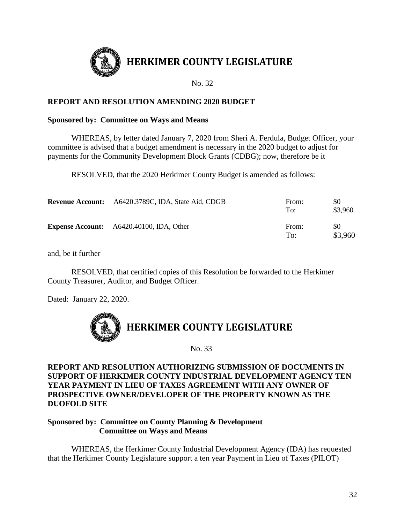

# **HERKIMER COUNTY LEGISLATURE**

No. 32

# **REPORT AND RESOLUTION AMENDING 2020 BUDGET**

# **Sponsored by: Committee on Ways and Means**

WHEREAS, by letter dated January 7, 2020 from Sheri A. Ferdula, Budget Officer, your committee is advised that a budget amendment is necessary in the 2020 budget to adjust for payments for the Community Development Block Grants (CDBG); now, therefore be it

RESOLVED, that the 2020 Herkimer County Budget is amended as follows:

| <b>Revenue Account:</b> A6420.3789C, IDA, State Aid, CDGB | From:<br>To: | \$0<br>\$3,960 |
|-----------------------------------------------------------|--------------|----------------|
| <b>Expense Account:</b> A6420.40100, IDA, Other           | From:<br>To: | \$0<br>\$3,960 |

and, be it further

RESOLVED, that certified copies of this Resolution be forwarded to the Herkimer County Treasurer, Auditor, and Budget Officer.

Dated: January 22, 2020.



No. 33

**REPORT AND RESOLUTION AUTHORIZING SUBMISSION OF DOCUMENTS IN SUPPORT OF HERKIMER COUNTY INDUSTRIAL DEVELOPMENT AGENCY TEN YEAR PAYMENT IN LIEU OF TAXES AGREEMENT WITH ANY OWNER OF PROSPECTIVE OWNER/DEVELOPER OF THE PROPERTY KNOWN AS THE DUOFOLD SITE** 

# **Sponsored by: Committee on County Planning & Development Committee on Ways and Means**

WHEREAS, the Herkimer County Industrial Development Agency (IDA) has requested that the Herkimer County Legislature support a ten year Payment in Lieu of Taxes (PILOT)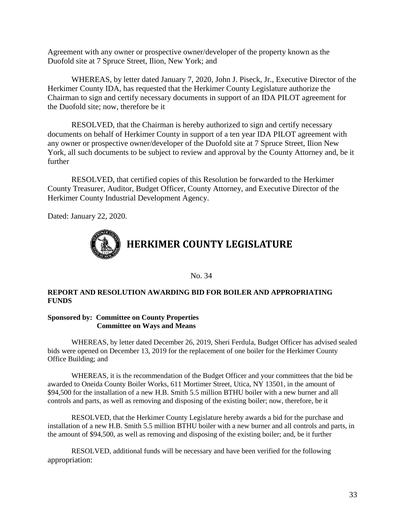Agreement with any owner or prospective owner/developer of the property known as the Duofold site at 7 Spruce Street, Ilion, New York; and

WHEREAS, by letter dated January 7, 2020, John J. Piseck, Jr., Executive Director of the Herkimer County IDA, has requested that the Herkimer County Legislature authorize the Chairman to sign and certify necessary documents in support of an IDA PILOT agreement for the Duofold site; now, therefore be it

RESOLVED, that the Chairman is hereby authorized to sign and certify necessary documents on behalf of Herkimer County in support of a ten year IDA PILOT agreement with any owner or prospective owner/developer of the Duofold site at 7 Spruce Street, Ilion New York, all such documents to be subject to review and approval by the County Attorney and, be it further

RESOLVED, that certified copies of this Resolution be forwarded to the Herkimer County Treasurer, Auditor, Budget Officer, County Attorney, and Executive Director of the Herkimer County Industrial Development Agency.

Dated: January 22, 2020.



No. 34

#### **REPORT AND RESOLUTION AWARDING BID FOR BOILER AND APPROPRIATING FUNDS**

#### **Sponsored by: Committee on County Properties Committee on Ways and Means**

WHEREAS, by letter dated December 26, 2019, Sheri Ferdula, Budget Officer has advised sealed bids were opened on December 13, 2019 for the replacement of one boiler for the Herkimer County Office Building; and

WHEREAS, it is the recommendation of the Budget Officer and your committees that the bid be awarded to Oneida County Boiler Works, 611 Mortimer Street, Utica, NY 13501, in the amount of \$94,500 for the installation of a new H.B. Smith 5.5 million BTHU boiler with a new burner and all controls and parts, as well as removing and disposing of the existing boiler; now, therefore, be it

RESOLVED, that the Herkimer County Legislature hereby awards a bid for the purchase and installation of a new H.B. Smith 5.5 million BTHU boiler with a new burner and all controls and parts, in the amount of \$94,500, as well as removing and disposing of the existing boiler; and, be it further

RESOLVED, additional funds will be necessary and have been verified for the following appropriation: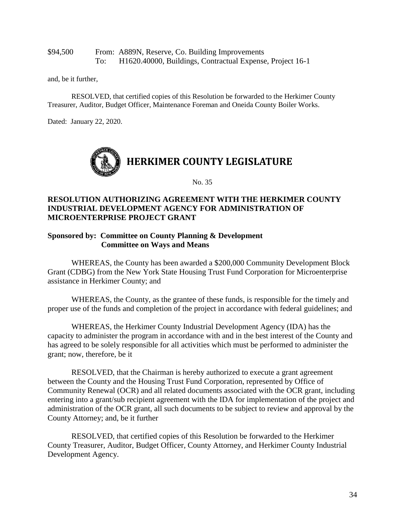\$94,500 From: A889N, Reserve, Co. Building Improvements To: H1620.40000, Buildings, Contractual Expense, Project 16-1

and, be it further,

RESOLVED, that certified copies of this Resolution be forwarded to the Herkimer County Treasurer, Auditor, Budget Officer, Maintenance Foreman and Oneida County Boiler Works.

Dated: January 22, 2020.



No. 35

# **RESOLUTION AUTHORIZING AGREEMENT WITH THE HERKIMER COUNTY INDUSTRIAL DEVELOPMENT AGENCY FOR ADMINISTRATION OF MICROENTERPRISE PROJECT GRANT**

#### **Sponsored by: Committee on County Planning & Development Committee on Ways and Means**

WHEREAS, the County has been awarded a \$200,000 Community Development Block Grant (CDBG) from the New York State Housing Trust Fund Corporation for Microenterprise assistance in Herkimer County; and

WHEREAS, the County, as the grantee of these funds, is responsible for the timely and proper use of the funds and completion of the project in accordance with federal guidelines; and

WHEREAS, the Herkimer County Industrial Development Agency (IDA) has the capacity to administer the program in accordance with and in the best interest of the County and has agreed to be solely responsible for all activities which must be performed to administer the grant; now, therefore, be it

RESOLVED, that the Chairman is hereby authorized to execute a grant agreement between the County and the Housing Trust Fund Corporation, represented by Office of Community Renewal (OCR) and all related documents associated with the OCR grant, including entering into a grant/sub recipient agreement with the IDA for implementation of the project and administration of the OCR grant, all such documents to be subject to review and approval by the County Attorney; and, be it further

RESOLVED, that certified copies of this Resolution be forwarded to the Herkimer County Treasurer, Auditor, Budget Officer, County Attorney, and Herkimer County Industrial Development Agency.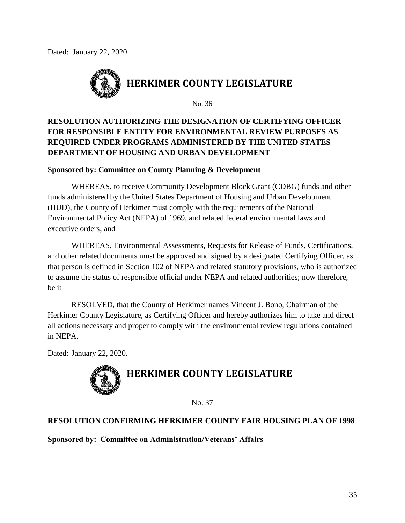Dated: January 22, 2020.



No. 36

# **RESOLUTION AUTHORIZING THE DESIGNATION OF CERTIFYING OFFICER FOR RESPONSIBLE ENTITY FOR ENVIRONMENTAL REVIEW PURPOSES AS REQUIRED UNDER PROGRAMS ADMINISTERED BY THE UNITED STATES DEPARTMENT OF HOUSING AND URBAN DEVELOPMENT**

# **Sponsored by: Committee on County Planning & Development**

WHEREAS, to receive Community Development Block Grant (CDBG) funds and other funds administered by the United States Department of Housing and Urban Development (HUD), the County of Herkimer must comply with the requirements of the National Environmental Policy Act (NEPA) of 1969, and related federal environmental laws and executive orders; and

WHEREAS, Environmental Assessments, Requests for Release of Funds, Certifications, and other related documents must be approved and signed by a designated Certifying Officer, as that person is defined in Section 102 of NEPA and related statutory provisions, who is authorized to assume the status of responsible official under NEPA and related authorities; now therefore, be it

RESOLVED, that the County of Herkimer names Vincent J. Bono, Chairman of the Herkimer County Legislature, as Certifying Officer and hereby authorizes him to take and direct all actions necessary and proper to comply with the environmental review regulations contained in NEPA.

Dated: January 22, 2020.



No. 37

# **RESOLUTION CONFIRMING HERKIMER COUNTY FAIR HOUSING PLAN OF 1998**

**Sponsored by: Committee on Administration/Veterans' Affairs**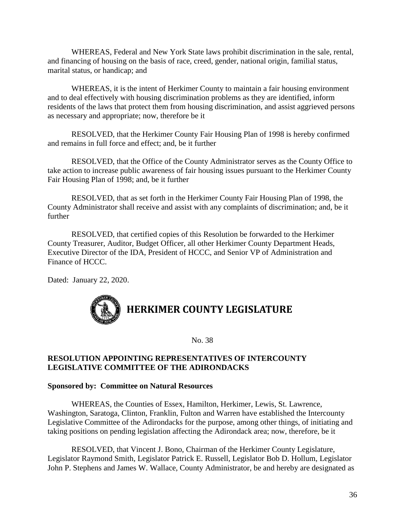WHEREAS, Federal and New York State laws prohibit discrimination in the sale, rental, and financing of housing on the basis of race, creed, gender, national origin, familial status, marital status, or handicap; and

WHEREAS, it is the intent of Herkimer County to maintain a fair housing environment and to deal effectively with housing discrimination problems as they are identified, inform residents of the laws that protect them from housing discrimination, and assist aggrieved persons as necessary and appropriate; now, therefore be it

RESOLVED, that the Herkimer County Fair Housing Plan of 1998 is hereby confirmed and remains in full force and effect; and, be it further

RESOLVED, that the Office of the County Administrator serves as the County Office to take action to increase public awareness of fair housing issues pursuant to the Herkimer County Fair Housing Plan of 1998; and, be it further

RESOLVED, that as set forth in the Herkimer County Fair Housing Plan of 1998, the County Administrator shall receive and assist with any complaints of discrimination; and, be it further

RESOLVED, that certified copies of this Resolution be forwarded to the Herkimer County Treasurer, Auditor, Budget Officer, all other Herkimer County Department Heads, Executive Director of the IDA, President of HCCC, and Senior VP of Administration and Finance of HCCC.

Dated: January 22, 2020.



No. 38

# **RESOLUTION APPOINTING REPRESENTATIVES OF INTERCOUNTY LEGISLATIVE COMMITTEE OF THE ADIRONDACKS**

#### **Sponsored by: Committee on Natural Resources**

WHEREAS, the Counties of Essex, Hamilton, Herkimer, Lewis, St. Lawrence, Washington, Saratoga, Clinton, Franklin, Fulton and Warren have established the Intercounty Legislative Committee of the Adirondacks for the purpose, among other things, of initiating and taking positions on pending legislation affecting the Adirondack area; now, therefore, be it

RESOLVED, that Vincent J. Bono, Chairman of the Herkimer County Legislature, Legislator Raymond Smith, Legislator Patrick E. Russell, Legislator Bob D. Hollum, Legislator John P. Stephens and James W. Wallace, County Administrator, be and hereby are designated as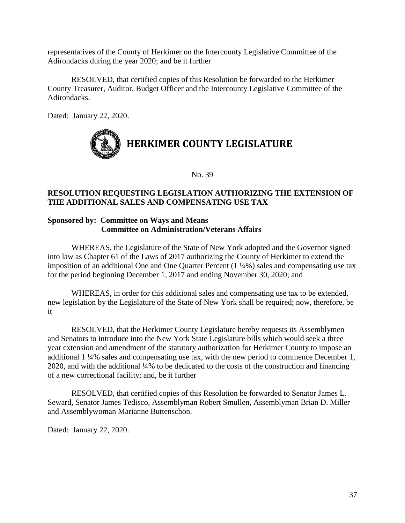representatives of the County of Herkimer on the Intercounty Legislative Committee of the Adirondacks during the year 2020; and be it further

RESOLVED, that certified copies of this Resolution be forwarded to the Herkimer County Treasurer, Auditor, Budget Officer and the Intercounty Legislative Committee of the Adirondacks.

Dated: January 22, 2020.



No. 39

# **RESOLUTION REQUESTING LEGISLATION AUTHORIZING THE EXTENSION OF THE ADDITIONAL SALES AND COMPENSATING USE TAX**

# **Sponsored by: Committee on Ways and Means Committee on Administration/Veterans Affairs**

WHEREAS, the Legislature of the State of New York adopted and the Governor signed into law as Chapter 61 of the Laws of 2017 authorizing the County of Herkimer to extend the imposition of an additional One and One Quarter Percent (1 ¼%) sales and compensating use tax for the period beginning December 1, 2017 and ending November 30, 2020; and

WHEREAS, in order for this additional sales and compensating use tax to be extended, new legislation by the Legislature of the State of New York shall be required; now, therefore, be it

RESOLVED, that the Herkimer County Legislature hereby requests its Assemblymen and Senators to introduce into the New York State Legislature bills which would seek a three year extension and amendment of the statutory authorization for Herkimer County to impose an additional 1 ¼% sales and compensating use tax, with the new period to commence December 1, 2020, and with the additional ¼% to be dedicated to the costs of the construction and financing of a new correctional facility; and, be it further

RESOLVED, that certified copies of this Resolution be forwarded to Senator James L. Seward, Senator James Tedisco, Assemblyman Robert Smullen, Assemblyman Brian D. Miller and Assemblywoman Marianne Buttenschon.

Dated: January 22, 2020.